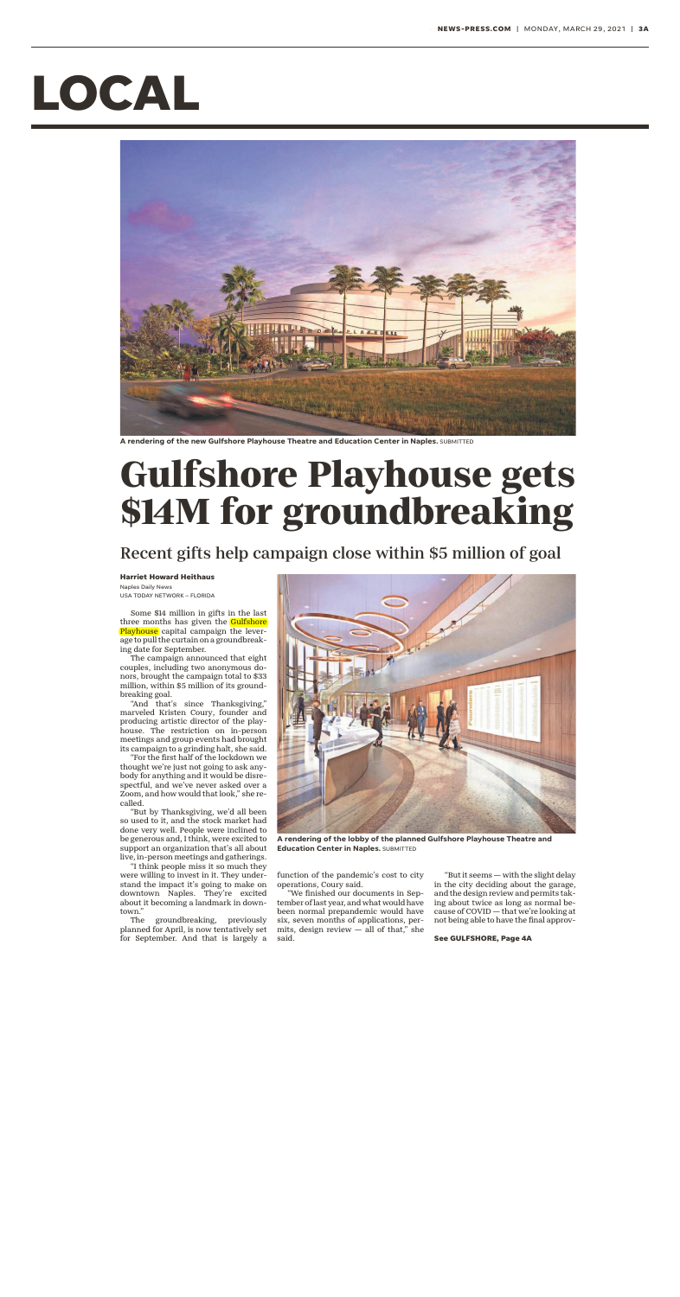## **LOCAL**



**A rendering of the new Gulfshore Playhouse Theatre and Education Center in Naples.** SUBMITTED

## **Gulfshore Playhouse gets \$14M for groundbreaking**

## Recent gifts help campaign close within \$5 million of goal

**Harriet Howard Heithaus** Naples Daily News

USA TODAY NETWORK – FLORIDA

Some \$14 million in gifts in the last three months has given the Gulfshore Playhouse capital campaign the leverage to pull the curtain on a groundbreaking date for September.

The campaign announced that eight couples, including two anonymous donors, brought the campaign total to \$33 million, within \$5 million of its groundbreaking goal.

"And that's since Thanksgiving," marveled Kristen Coury, founder and producing artistic director of the playhouse. The restriction on in-person meetings and group events had brought its campaign to a grinding halt, she said.

"For the first half of the lockdown we thought we're just not going to ask anybody for anything and it would be disrespectful, and we've never asked over a Zoom, and how would that look," she recalled.

"But by Thanksgiving, we'd all been so used to it, and the stock market had done very well. People were inclined to be generous and, I think, were excited to support an organization that's all about live, in-person meetings and gatherings.

"I think people miss it so much they were willing to invest in it. They understand the impact it's going to make on downtown Naples. They're excited about it becoming a landmark in downtown."

The groundbreaking, previously planned for April, is now tentatively set for September. And that is largely a



**A rendering of the lobby of the planned Gulfshore Playhouse Theatre and Education Center in Naples. SUBMITTED** 

function of the pandemic's cost to city operations, Coury said.

"We finished our documents in September of last year, and what would have been normal prepandemic would have six, seven months of applications, permits, design review  $-$  all of that," she said.

"But it seems — with the slight delay in the city deciding about the garage, and the design review and permits taking about twice as long as normal because of COVID — that we're looking at not being able to have the final approv-

**See GULFSHORE, Page 4A**